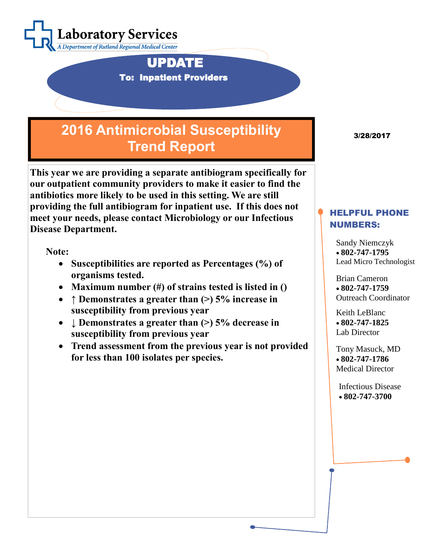

 UPDATE To: Inpatient Providers

## **2016 Antimicrobial Susceptibility Trend Report**

**This year we are providing a separate antibiogram specifically for our outpatient community providers to make it easier to find the antibiotics more likely to be used in this setting. We are still providing the full antibiogram for inpatient use. If this does not meet your needs, please contact Microbiology or our Infectious Disease Department.**

**Note:**

- **Susceptibilities are reported as Percentages (%) of organisms tested.**
- **Maximum number (#) of strains tested is listed in ()**
- **↑ Demonstrates a greater than (>) 5% increase in susceptibility from previous year**
- **↓ Demonstrates a greater than (>) 5% decrease in susceptibility from previous year**
- **Trend assessment from the previous year is not provided for less than 100 isolates per species.**

3/28/2017

## HELPFUL PHONE NUMBERS:

Sandy Niemczyk **802-747-1795** Lead Micro Technologist

Brian Cameron **802-747-1759** Outreach Coordinator

Keith LeBlanc **802-747-1825** Lab Director

Tony Masuck, MD **802-747-1786** Medical Director

Infectious Disease **802-747-3700**